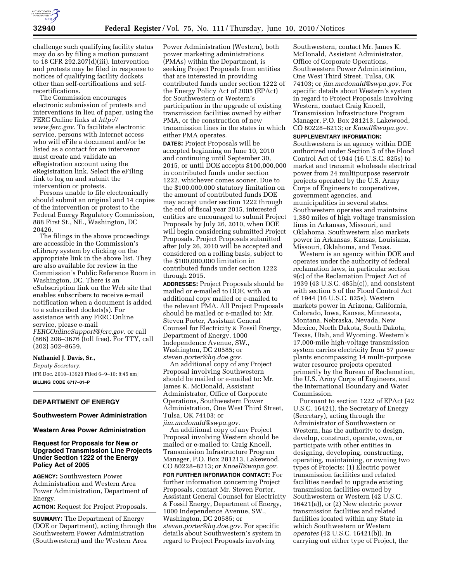

challenge such qualifying facility status may do so by filing a motion pursuant to 18 CFR 292.207(d)(iii). Intervention and protests may be filed in response to notices of qualifying facility dockets other than self-certifications and selfrecertifications.

The Commission encourages electronic submission of protests and interventions in lieu of paper, using the FERC Online links at *http:// www.ferc.gov.* To facilitate electronic service, persons with Internet access who will eFile a document and/or be listed as a contact for an intervenor must create and validate an eRegistration account using the eRegistration link. Select the eFiling link to log on and submit the intervention or protests.

Persons unable to file electronically should submit an original and 14 copies of the intervention or protest to the Federal Energy Regulatory Commission, 888 First St., NE., Washington, DC 20426.

The filings in the above proceedings are accessible in the Commission's eLibrary system by clicking on the appropriate link in the above list. They are also available for review in the Commission's Public Reference Room in Washington, DC. There is an eSubscription link on the Web site that enables subscribers to receive e-mail notification when a document is added to a subscribed dockets(s). For assistance with any FERC Online service, please e-mail *FERCOnlineSupport@ferc.gov.* or call (866) 208–3676 (toll free). For TTY, call (202) 502–8659.

### **Nathaniel J. Davis, Sr.,**

*Deputy Secretary.*  [FR Doc. 2010–13920 Filed 6–9–10; 8:45 am] **BILLING CODE 6717–01–P** 

## **DEPARTMENT OF ENERGY**

# **Southwestern Power Administration**

#### **Western Area Power Administration**

## **Request for Proposals for New or Upgraded Transmission Line Projects Under Section 1222 of the Energy Policy Act of 2005**

**AGENCY:** Southwestern Power Administration and Western Area Power Administration, Department of Energy.

**ACTION:** Request for Project Proposals.

**SUMMARY:** The Department of Energy (DOE or Department), acting through the Southwestern Power Administration (Southwestern) and the Western Area

Power Administration (Western), both power marketing administrations (PMAs) within the Department, is seeking Project Proposals from entities that are interested in providing contributed funds under section 1222 of the Energy Policy Act of 2005 (EPAct) for Southwestern or Western's participation in the upgrade of existing transmission facilities owned by either PMA, or the construction of new transmission lines in the states in which either PMA operates.

**DATES:** Project Proposals will be accepted beginning on June 10, 2010 and continuing until September 30, 2015, or until DOE accepts \$100,000,000 in contributed funds under section 1222, whichever comes sooner. Due to the \$100,000,000 statutory limitation on the amount of contributed funds DOE may accept under section 1222 through the end of fiscal year 2015, interested entities are encouraged to submit Project Proposals by July 26, 2010, when DOE will begin considering submitted Project Proposals. Project Proposals submitted after July 26, 2010 will be accepted and considered on a rolling basis, subject to the \$100,000,000 limitation in contributed funds under section 1222 through 2015.

**ADDRESSES:** Project Proposals should be mailed or e-mailed to DOE, with an additional copy mailed or e-mailed to the relevant PMA. All Project Proposals should be mailed or e-mailed to: Mr. Steven Porter, Assistant General Counsel for Electricity & Fossil Energy, Department of Energy, 1000 Independence Avenue, SW., Washington, DC 20585; or *steven.porter@hq.doe.gov.* 

An additional copy of any Project Proposal involving Southwestern should be mailed or e-mailed to: Mr. James K. McDonald, Assistant Administrator, Office of Corporate Operations, Southwestern Power Administration, One West Third Street, Tulsa, OK 74103; or *jim.mcdonald@swpa.gov.* 

An additional copy of any Project Proposal involving Western should be mailed or e-mailed to: Craig Knoell, Transmission Infrastructure Program Manager, P.O. Box 281213, Lakewood, CO 80228–8213; or *Knoell@wapa.gov.* 

**FOR FURTHER INFORMATION CONTACT:** For further information concerning Project Proposals, contact Mr. Steven Porter, Assistant General Counsel for Electricity & Fossil Energy, Department of Energy, 1000 Independence Avenue, SW., Washington, DC 20585; or *steven.porter@hq.doe.gov.* For specific details about Southwestern's system in regard to Project Proposals involving

Southwestern, contact Mr. James K. McDonald, Assistant Administrator, Office of Corporate Operations, Southwestern Power Administration, One West Third Street, Tulsa, OK 74103; or *jim.mcdonald@swpa.gov.* For specific details about Western's system in regard to Project Proposals involving Western, contact Craig Knoell, Transmission Infrastructure Program Manager, P.O. Box 281213, Lakewood, CO 80228–8213; or *Knoell@wapa.gov.* 

### **SUPPLEMENTARY INFORMATION:**

Southwestern is an agency within DOE authorized under Section 5 of the Flood Control Act of 1944 (16 U.S.C. 825s) to market and transmit wholesale electrical power from 24 multipurpose reservoir projects operated by the U.S. Army Corps of Engineers to cooperatives, government agencies, and municipalities in several states. Southwestern operates and maintains 1,380 miles of high voltage transmission lines in Arkansas, Missouri, and Oklahoma. Southwestern also markets power in Arkansas, Kansas, Louisiana, Missouri, Oklahoma, and Texas.

Western is an agency within DOE and operates under the authority of federal reclamation laws, in particular section 9(c) of the Reclamation Project Act of 1939 (43 U.S.C. 485h(c)), and consistent with section 5 of the Flood Control Act of 1944 (16 U.S.C. 825s). Western markets power in Arizona, California, Colorado, Iowa, Kansas, Minnesota, Montana, Nebraska, Nevada, New Mexico, North Dakota, South Dakota, Texas, Utah, and Wyoming. Western's 17,000-mile high-voltage transmission system carries electricity from 57 power plants encompassing 14 multi-purpose water resource projects operated primarily by the Bureau of Reclamation, the U.S. Army Corps of Engineers, and the International Boundary and Water Commission.

Pursuant to section 1222 of EPAct (42 U.S.C. 16421), the Secretary of Energy (Secretary), acting through the Administrator of Southwestern or Western, has the authority to design, develop, construct, operate, own, or participate with other entities in designing, developing, constructing, operating, maintaining, or owning two types of Projects: (1) Electric power transmission facilities and related facilities needed to upgrade existing transmission facilities owned by Southwestern or Western (42 U.S.C. 16421(a)), or (2) New electric power transmission facilities and related facilities located within any State in which Southwestern or Western *operates* (42 U.S.C. 16421(b)). In carrying out either type of Project, the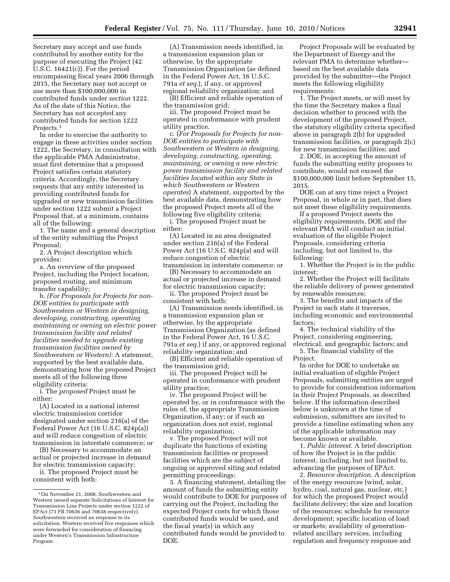Secretary may accept and use funds contributed by another entity for the purpose of executing the Project (42 U.S.C. 16421(c)). For the period encompassing fiscal years 2006 through 2015, the Secretary may not accept or use more than \$100,000,000 in contributed funds under *section* 1222. As of the date of this Notice, the Secretary has not accepted any contributed funds for section 1222 Projects.<sup>1</sup>

In order to exercise the authority to engage in these activities under section 1222, the Secretary, in consultation with the applicable PMA Administrator, must first determine that a proposed Project satisfies certain statutory criteria. Accordingly, the Secretary requests that any entity interested in providing contributed funds for upgraded or new transmission facilities under section 1222 submit a Project Proposal that, at a minimum, contains all of the following:

1. The name and a general description of the entity submitting the Project Proposal;

2. A Project description which provides:

a. An overview of the proposed Project, including the Project location, proposed routing, and minimum transfer capability;

b. *(For Proposals for Projects for non-DOE entities to participate with Southwestern or Western in designing, developing, constructing, operating maintaining or owning an electric power transmission facility and related facilities needed to upgrade existing transmission facilities owned by Southwestern or Western):* A statement, supported by the best available data, demonstrating how the proposed Project meets all of the following three eligibility criteria:

i. The *proposed* Project must be either:

(A) Located in a national interest electric transmission corridor designated under section 216(a) of the Federal Power Act (16 U.S.C. 824p(a)) and will reduce congestion of electric transmission in interstate commerce; or

(B) Necessary to accommodate an actual or projected increase in demand for electric transmission capacity;

ii. The proposed Project must be consistent with both:

(A) Transmission needs identified, in a transmission expansion plan or otherwise, by the appropriate Transmission Organization (as defined in the Federal Power Act, 16 U.S.C. 791a *et seq.*), if any, or approved regional reliability organization; and

(B) Efficient and reliable operation of the transmission grid;

iii. The proposed Project must be operated in conformance with prudent utility practice.

c. (*For Proposals for Projects for non-DOE entities to participate with Southwestern or Western in designing, developing, constructing, operating, maintaining, or owning a new electric power transmission facility and related facilities located within any State in which Southwestern or Western operates*) A statement, supported by the best available data, demonstrating how the proposed Project meets all of the following five eligibility criteria:

i. The proposed Project must be either:

(A) Located in an area designated under section 216(a) of the Federal Power Act (16 U.S.C. 824p(a) and will reduce congestion of electric transmission in interstate commerce; or

(B) Necessary to accommodate an actual or projected increase in demand for electric transmission capacity;

ii. The proposed Project must be consistent with both:

(A) Transmission needs identified, in a transmission expansion plan or otherwise, by the appropriate Transmission Organization (as defined in the Federal Power Act, 16 U.S.C. 791a *et seq.*) if any, or approved regional reliability organization; and

(B) Efficient and reliable operation of the transmission grid;

iii. The proposed Project will be operated in conformance with prudent utility practice;

iv. The proposed Project will be operated by, or in conformance with the rules of, the appropriate Transmission Organization, if any; or if such an organization does not exist, regional reliability organization;

v. The proposed Project will not duplicate the functions of existing transmission facilities or proposed facilities which are the subject of ongoing or approved siting and related permitting proceedings;

3. A financing statement, detailing the amount of funds the submitting entity would contribute to DOE for purposes of carrying out the Project, including the expected Project costs for which those contributed funds would be used, and the fiscal year(s) in which any contributed funds would be provided to DOE.

Project Proposals will be evaluated by the Department of Energy and the relevant PMA to determine whether based on the best available data provided by the submitter—the Project meets the following eligibility requirements:

1. The Project meets, or will meet by the time the Secretary makes a final decision whether to proceed with the development of the proposed Project, the statutory eligibility criteria specified above in paragraph 2(b) for upgraded transmission facilities, or paragraph 2(c) for new transmission facilities; and

2. DOE, in accepting the amount of funds the submitting entity proposes to contribute, would not exceed the \$100,000,000 limit before September 15, 2015.

DOE can at any time reject a Project Proposal, in whole or in part, that does not meet these eligibility requirements.

If a proposed Project meets the eligibility requirements, DOE and the relevant PMA will conduct an initial evaluation of the eligible Project Proposals, considering criteria including, but not limited to, the following:

1. Whether the Project is in the public interest;

2. Whether the Project will facilitate the reliable delivery of power generated by renewable resources;

3. The benefits and impacts of the Project in each state it traverses, including economic and environmental factors;

4. The technical viability of the Project, considering engineering, electrical, and geographic factors; and 5. The financial viability of the

Project.

In order for DOE to undertake an initial evaluation of eligible Project Proposals, submitting entities are urged to provide for consideration information in their Project Proposals, as described below. If the information described below is unknown at the time of submission, submitters are invited to provide a timeline estimating when any of the applicable information may become known or available.

1. *Public interest.* A brief description of how the Project is in the public interest, including, but not limited to, advancing the purposes of EPAct.

2. *Resource description.* A description of the energy resources (wind, solar, hydro, coal, natural gas, nuclear, etc.) for which the proposed Project would facilitate delivery; the size and location of the resources; schedule for resource development; specific location of load or markets; availability of generationrelated ancillary services, including regulation and frequency response and

<sup>1</sup>On November 21, 2008, Southwestern and Western issued separate Solicitations of Interest for Transmission Line Projects under section 1222 of EPAct (73 FR 70636 and 70638 respectively). Southwestern received no response to its solicitation. Western received five responses which were forwarded for consideration of financing under Western's Transmission Infrastructure Program.